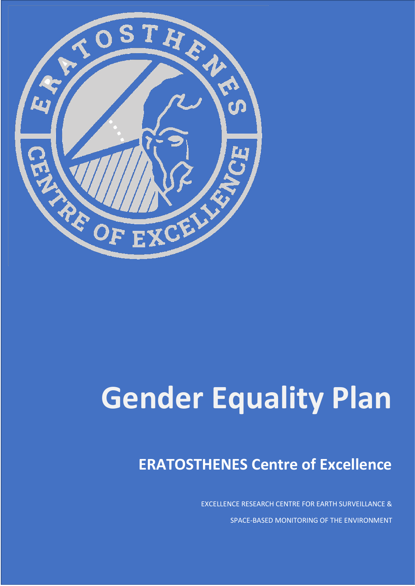

# **Gender Equality Plan**

# **ERATOSTHENES Centre of Excellence**

EXCELLENCE RESEARCH CENTRE FOR EARTH SURVEILLANCE & SPACE-BASED MONITORING OF THE ENVIRONMENT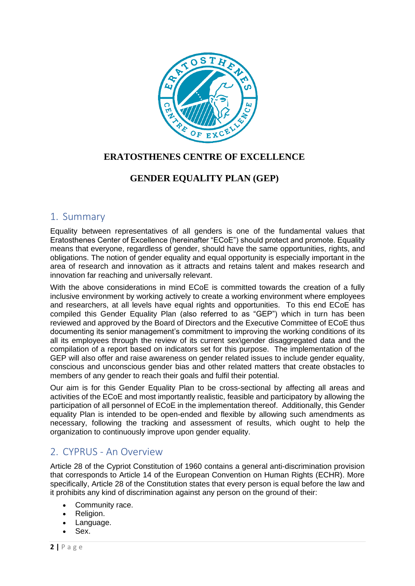

#### **ERATOSTHENES CENTRE OF EXCELLENCE**

#### **GENDER EQUALITY PLAN (GEP)**

#### 1. Summary

Equality between representatives of all genders is one of the fundamental values that Eratosthenes Center of Excellence (hereinafter "ECoE") should protect and promote. Equality means that everyone, regardless of gender, should have the same opportunities, rights, and obligations. The notion of gender equality and equal opportunity is especially important in the area of research and innovation as it attracts and retains talent and makes research and innovation far reaching and universally relevant.

With the above considerations in mind ECoE is committed towards the creation of a fully inclusive environment by working actively to create a working environment where employees and researchers, at all levels have equal rights and opportunities. To this end ECoE has compiled this Gender Equality Plan (also referred to as "GEP") which in turn has been reviewed and approved by the Board of Directors and the Executive Committee of ECoE thus documenting its senior management's commitment to improving the working conditions of its all its employees through the review of its current sex\gender disaggregated data and the compilation of a report based on indicators set for this purpose. The implementation of the GEP will also offer and raise awareness on gender related issues to include gender equality, conscious and unconscious gender bias and other related matters that create obstacles to members of any gender to reach their goals and fulfil their potential.

Our aim is for this Gender Equality Plan to be cross-sectional by affecting all areas and activities of the ECoE and most importantly realistic, feasible and participatory by allowing the participation of all personnel of ECoE in the implementation thereof. Additionally, this Gender equality Plan is intended to be open-ended and flexible by allowing such amendments as necessary, following the tracking and assessment of results, which ought to help the organization to continuously improve upon gender equality.

# 2. CYPRUS - An Overview

Article 28 of the Cypriot Constitution of 1960 contains a general anti-discrimination provision that corresponds to Article 14 of the European Convention on Human Rights (ECHR). More specifically, Article 28 of the Constitution states that every person is equal before the law and it prohibits any kind of discrimination against any person on the ground of their:

- Community race.
- Religion.
- Language.
- Sex.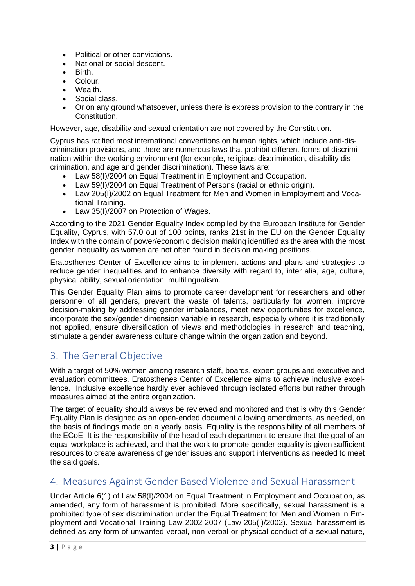- Political or other convictions.
- National or social descent.
- Birth.
- Colour.
- Wealth.
- Social class.
- Or on any ground whatsoever, unless there is express provision to the contrary in the Constitution.

However, age, disability and sexual orientation are not covered by the Constitution.

Cyprus has ratified most international conventions on human rights, which include anti-discrimination provisions, and there are numerous laws that prohibit different forms of discrimination within the working environment (for example, religious discrimination, disability discrimination, and age and gender discrimination). These laws are:

- Law 58(I)/2004 on Equal Treatment in Employment and Occupation.
- Law 59(I)/2004 on Equal Treatment of Persons (racial or ethnic origin).
- Law 205(I)/2002 on Equal Treatment for Men and Women in Employment and Vocational Training.
- Law 35(I)/2007 on Protection of Wages.

According to the 2021 Gender Equality Index compiled by the European Institute for Gender Equality, Cyprus, with 57.0 out of 100 points, ranks 21st in the EU on the Gender Equality Index with the domain of power/economic decision making identified as the area with the most gender inequality as women are not often found in decision making positions.

Eratosthenes Center of Excellence aims to implement actions and plans and strategies to reduce gender inequalities and to enhance diversity with regard to, inter alia, age, culture, physical ability, sexual orientation, multilingualism.

This Gender Equality Plan aims to promote career development for researchers and other personnel of all genders, prevent the waste of talents, particularly for women, improve decision-making by addressing gender imbalances, meet new opportunities for excellence, incorporate the sex/gender dimension variable in research, especially where it is traditionally not applied, ensure diversification of views and methodologies in research and teaching, stimulate a gender awareness culture change within the organization and beyond.

# 3. The General Objective

With a target of 50% women among research staff, boards, expert groups and executive and evaluation committees, Eratosthenes Center of Excellence aims to achieve inclusive excellence. Inclusive excellence hardly ever achieved through isolated efforts but rather through measures aimed at the entire organization.

The target of equality should always be reviewed and monitored and that is why this Gender Equality Plan is designed as an open-ended document allowing amendments, as needed, on the basis of findings made on a yearly basis. Equality is the responsibility of all members of the ECoE. It is the responsibility of the head of each department to ensure that the goal of an equal workplace is achieved, and that the work to promote gender equality is given sufficient resources to create awareness of gender issues and support interventions as needed to meet the said goals.

# 4. Measures Against Gender Based Violence and Sexual Harassment

Under Article 6(1) of Law 58(I)/2004 on Equal Treatment in Employment and Occupation, as amended, any form of harassment is prohibited. More specifically, sexual harassment is a prohibited type of sex discrimination under the Equal Treatment for Men and Women in Employment and Vocational Training Law 2002-2007 (Law 205(I)/2002). Sexual harassment is defined as any form of unwanted verbal, non-verbal or physical conduct of a sexual nature,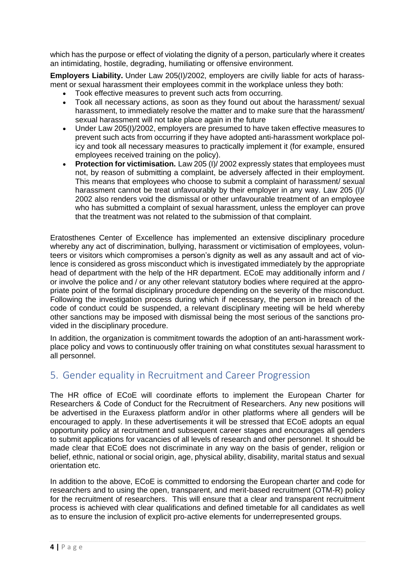which has the purpose or effect of violating the dignity of a person, particularly where it creates an intimidating, hostile, degrading, humiliating or offensive environment.

**Employers Liability.** Under Law 205(I)/2002, employers are civilly liable for acts of harassment or sexual harassment their employees commit in the workplace unless they both:

- Took effective measures to prevent such acts from occurring.
- Took all necessary actions, as soon as they found out about the harassment/ sexual harassment, to immediately resolve the matter and to make sure that the harassment/ sexual harassment will not take place again in the future
- Under Law 205(I)/2002, employers are presumed to have taken effective measures to prevent such acts from occurring if they have adopted anti-harassment workplace policy and took all necessary measures to practically implement it (for example, ensured employees received training on the policy).
- **Protection for victimisation.** Law 205 (I)/ 2002 expressly states that employees must not, by reason of submitting a complaint, be adversely affected in their employment. This means that employees who choose to submit a complaint of harassment/ sexual harassment cannot be treat unfavourably by their employer in any way. Law 205 (I)/ 2002 also renders void the dismissal or other unfavourable treatment of an employee who has submitted a complaint of sexual harassment, unless the employer can prove that the treatment was not related to the submission of that complaint.

Eratosthenes Center of Excellence has implemented an extensive disciplinary procedure whereby any act of discrimination, bullying, harassment or victimisation of employees, volunteers or visitors which compromises a person's dignity as well as any assault and act of violence is considered as gross misconduct which is investigated immediately by the appropriate head of department with the help of the HR department. ECoE may additionally inform and / or involve the police and / or any other relevant statutory bodies where required at the appropriate point of the formal disciplinary procedure depending on the severity of the misconduct. Following the investigation process during which if necessary, the person in breach of the code of conduct could be suspended, a relevant disciplinary meeting will be held whereby other sanctions may be imposed with dismissal being the most serious of the sanctions provided in the disciplinary procedure.

In addition, the organization is commitment towards the adoption of an anti-harassment workplace policy and vows to continuously offer training on what constitutes sexual harassment to all personnel.

# 5. Gender equality in Recruitment and Career Progression

The HR office of ECoE will coordinate efforts to implement the European Charter for Researchers & Code of Conduct for the Recruitment of Researchers. Any new positions will be advertised in the Euraxess platform and/or in other platforms where all genders will be encouraged to apply. In these advertisements it will be stressed that ECoE adopts an equal opportunity policy at recruitment and subsequent career stages and encourages all genders to submit applications for vacancies of all levels of research and other personnel. It should be made clear that ECoE does not discriminate in any way on the basis of gender, religion or belief, ethnic, national or social origin, age, physical ability, disability, marital status and sexual orientation etc.

In addition to the above, ECoE is committed to endorsing the European charter and code for researchers and to using the open, transparent, and merit-based recruitment (OTM-R) policy for the recruitment of researchers. This will ensure that a clear and transparent recruitment process is achieved with clear qualifications and defined timetable for all candidates as well as to ensure the inclusion of explicit pro-active elements for underrepresented groups.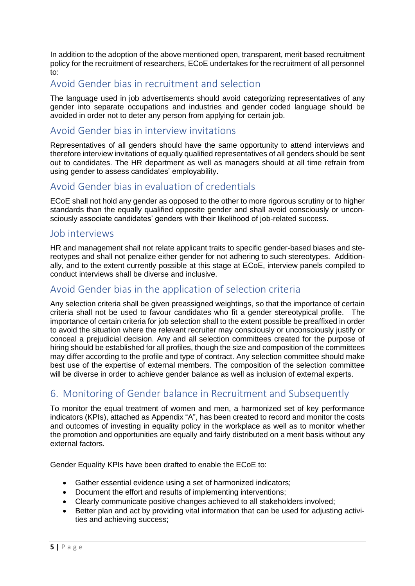In addition to the adoption of the above mentioned open, transparent, merit based recruitment policy for the recruitment of researchers, ECoE undertakes for the recruitment of all personnel to:

#### Avoid Gender bias in recruitment and selection

The language used in job advertisements should avoid categorizing representatives of any gender into separate occupations and industries and gender coded language should be avoided in order not to deter any person from applying for certain job.

#### Avoid Gender bias in interview invitations

Representatives of all genders should have the same opportunity to attend interviews and therefore interview invitations of equally qualified representatives of all genders should be sent out to candidates. The HR department as well as managers should at all time refrain from using gender to assess candidates' employability.

# Avoid Gender bias in evaluation of credentials

ECoE shall not hold any gender as opposed to the other to more rigorous scrutiny or to higher standards than the equally qualified opposite gender and shall avoid consciously or unconsciously associate candidates' genders with their likelihood of job-related success.

#### Job interviews

HR and management shall not relate applicant traits to specific gender-based biases and stereotypes and shall not penalize either gender for not adhering to such stereotypes. Additionally, and to the extent currently possible at this stage at ECoE, interview panels compiled to conduct interviews shall be diverse and inclusive.

#### Avoid Gender bias in the application of selection criteria

Any selection criteria shall be given preassigned weightings, so that the importance of certain criteria shall not be used to favour candidates who fit a gender stereotypical profile. The importance of certain criteria for job selection shall to the extent possible be preaffixed in order to avoid the situation where the relevant recruiter may consciously or unconsciously justify or conceal a prejudicial decision. Any and all selection committees created for the purpose of hiring should be established for all profiles, though the size and composition of the committees may differ according to the profile and type of contract. Any selection committee should make best use of the expertise of external members. The composition of the selection committee will be diverse in order to achieve gender balance as well as inclusion of external experts.

# 6. Monitoring of Gender balance in Recruitment and Subsequently

To monitor the equal treatment of women and men, a harmonized set of key performance indicators (KPIs), attached as Appendix "A", has been created to record and monitor the costs and outcomes of investing in equality policy in the workplace as well as to monitor whether the promotion and opportunities are equally and fairly distributed on a merit basis without any external factors.

Gender Equality KPIs have been drafted to enable the ECoE to:

- Gather essential evidence using a set of harmonized indicators;
- Document the effort and results of implementing interventions;
- Clearly communicate positive changes achieved to all stakeholders involved;
- Better plan and act by providing vital information that can be used for adjusting activities and achieving success;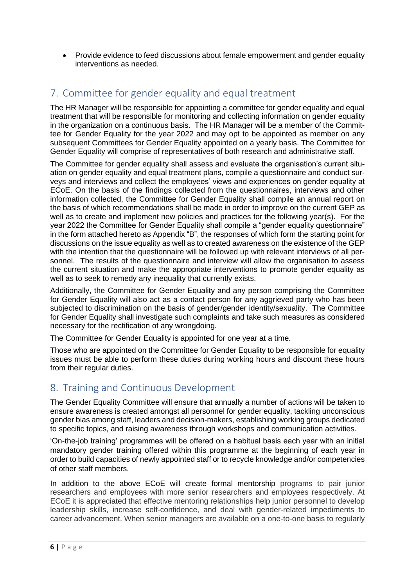• Provide evidence to feed discussions about female empowerment and gender equality interventions as needed.

# 7. Committee for gender equality and equal treatment

The HR Manager will be responsible for appointing a committee for gender equality and equal treatment that will be responsible for monitoring and collecting information on gender equality in the organization on a continuous basis. The HR Manager will be a member of the Committee for Gender Equality for the year 2022 and may opt to be appointed as member on any subsequent Committees for Gender Equality appointed on a yearly basis. The Committee for Gender Equality will comprise of representatives of both research and administrative staff.

The Committee for gender equality shall assess and evaluate the organisation's current situation on gender equality and equal treatment plans, compile a questionnaire and conduct surveys and interviews and collect the employees' views and experiences on gender equality at ECoE. On the basis of the findings collected from the questionnaires, interviews and other information collected, the Committee for Gender Equality shall compile an annual report on the basis of which recommendations shall be made in order to improve on the current GEP as well as to create and implement new policies and practices for the following year(s). For the year 2022 the Committee for Gender Equality shall compile a "gender equality questionnaire" in the form attached hereto as Appendix "B", the responses of which form the starting point for discussions on the issue equality as well as to created awareness on the existence of the GEP with the intention that the questionnaire will be followed up with relevant interviews of all personnel. The results of the questionnaire and interview will allow the organisation to assess the current situation and make the appropriate interventions to promote gender equality as well as to seek to remedy any inequality that currently exists.

Additionally, the Committee for Gender Equality and any person comprising the Committee for Gender Equality will also act as a contact person for any aggrieved party who has been subjected to discrimination on the basis of gender/gender identity/sexuality. The Committee for Gender Equality shall investigate such complaints and take such measures as considered necessary for the rectification of any wrongdoing.

The Committee for Gender Equality is appointed for one year at a time.

Those who are appointed on the Committee for Gender Equality to be responsible for equality issues must be able to perform these duties during working hours and discount these hours from their regular duties.

# 8. Training and Continuous Development

The Gender Equality Committee will ensure that annually a number of actions will be taken to ensure awareness is created amongst all personnel for gender equality, tackling unconscious gender bias among staff, leaders and decision-makers, establishing working groups dedicated to specific topics, and raising awareness through workshops and communication activities.

'On-the-job training' programmes will be offered on a habitual basis each year with an initial mandatory gender training offered within this programme at the beginning of each year in order to build capacities of newly appointed staff or to recycle knowledge and/or competencies of other staff members.

In addition to the above ECoE will create formal mentorship programs to pair junior researchers and employees with more senior researchers and employees respectively. At ECoE it is appreciated that effective mentoring relationships help junior personnel to develop leadership skills, increase self-confidence, and deal with gender-related impediments to career advancement. When senior managers are available on a one-to-one basis to regularly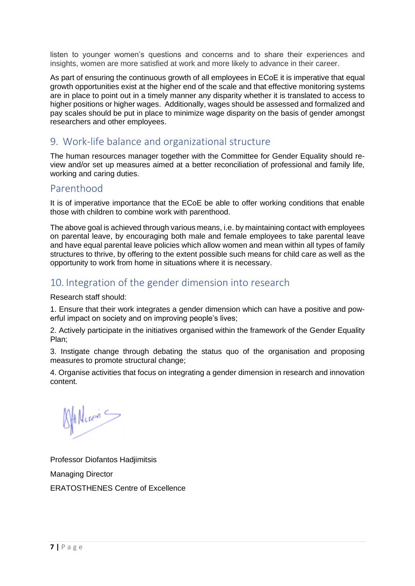listen to younger women's questions and concerns and to share their experiences and insights, women are more satisfied at work and more likely to advance in their career.

As part of ensuring the continuous growth of all employees in ECoE it is imperative that equal growth opportunities exist at the higher end of the scale and that effective monitoring systems are in place to point out in a timely manner any disparity whether it is translated to access to higher positions or higher wages. Additionally, wages should be assessed and formalized and pay scales should be put in place to minimize wage disparity on the basis of gender amongst researchers and other employees.

# 9. Work-life balance and organizational structure

The human resources manager together with the Committee for Gender Equality should review and/or set up measures aimed at a better reconciliation of professional and family life, working and caring duties.

#### Parenthood

It is of imperative importance that the ECoE be able to offer working conditions that enable those with children to combine work with parenthood.

The above goal is achieved through various means, i.e. by maintaining contact with employees on parental leave, by encouraging both male and female employees to take parental leave and have equal parental leave policies which allow women and mean within all types of family structures to thrive, by offering to the extent possible such means for child care as well as the opportunity to work from home in situations where it is necessary.

# 10. Integration of the gender dimension into research

Research staff should:

1. Ensure that their work integrates a gender dimension which can have a positive and powerful impact on society and on improving people's lives;

2. Actively participate in the initiatives organised within the framework of the Gender Equality Plan;

3. Instigate change through debating the status quo of the organisation and proposing measures to promote structural change;

4. Organise activities that focus on integrating a gender dimension in research and innovation content.

Allecon -

Professor Diofantos Hadjimitsis Managing Director ERATOSTHENES Centre of Excellence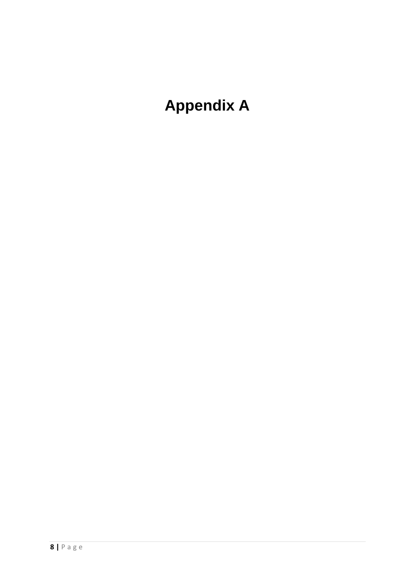# **Appendix A**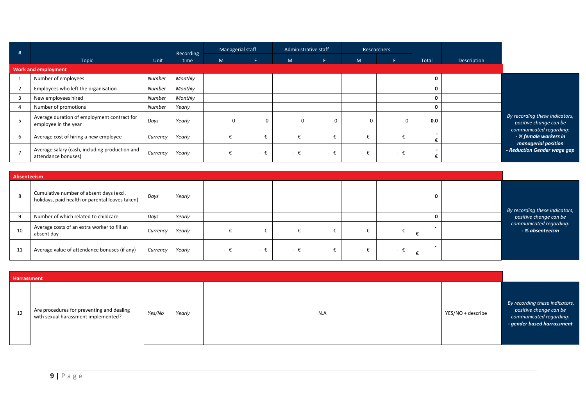| #              |                                                                       |               | Recording | Managerial staff |             | Administrative staff |             | Researchers |     |       |             |                                                                                     |
|----------------|-----------------------------------------------------------------------|---------------|-----------|------------------|-------------|----------------------|-------------|-------------|-----|-------|-------------|-------------------------------------------------------------------------------------|
|                | Topic                                                                 | Unit          | time      | M                | F.          | M.                   |             | M           | F.  | Total | Description |                                                                                     |
|                | <b>Work and employment</b>                                            |               |           |                  |             |                      |             |             |     |       |             |                                                                                     |
|                | Number of employees                                                   | Number        | Monthly   |                  |             |                      |             |             |     | 0     |             |                                                                                     |
| $\overline{2}$ | Employees who left the organisation                                   | <b>Number</b> | Monthly   |                  |             |                      |             |             |     | 0     |             |                                                                                     |
| 3              | New employees hired                                                   | Number        | Monthly   |                  |             |                      |             |             |     | 0     |             |                                                                                     |
| 4              | Number of promotions                                                  | Number        | Yearly    |                  |             |                      |             |             |     | 0     |             |                                                                                     |
|                | Average duration of employment contract for<br>employee in the year   | Days          | Yearly    | 0                |             | 0                    | $\Omega$    |             | 0   | 0.0   |             | By recording these indicators,<br>positive change can be<br>communicated regarding: |
| 6              | Average cost of hiring a new employee                                 | Currency      | Yearly    | - €              | $-F$        | - ‡                  | $ \epsilon$ | - €         | - € |       |             | - % female workers in<br>managerial position                                        |
| $\overline{7}$ | Average salary (cash, including production and<br>attendance bonuses) | Currency      | Yearly    | - t              | $ \epsilon$ | - €                  | $ \epsilon$ | - €         | - ‡ |       |             | - Reduction Gender wage gap                                                         |

|    | Absenteeism                                                                                |          |        |      |                          |      |                          |      |                          |   |  |                                            |
|----|--------------------------------------------------------------------------------------------|----------|--------|------|--------------------------|------|--------------------------|------|--------------------------|---|--|--------------------------------------------|
|    | Cumulative number of absent days (excl.<br>holidays, paid health or parental leaves taken) | Days     | Yearly |      |                          |      |                          |      |                          | o |  | By recording these indicators,             |
|    | Number of which related to childcare                                                       | Days     | Yearly |      |                          |      |                          |      |                          |   |  | positive change can be                     |
| 10 | Average costs of an extra worker to fill an<br>absent day                                  | Currency | Yearly | – €. | $\overline{\phantom{0}}$ | - 1  | $\overline{\phantom{a}}$ | $ +$ | $\overline{\phantom{0}}$ |   |  | communicated regarding:<br>- % absenteeism |
| 11 | Average value of attendance bonuses (if any)                                               | Currency | Yearly | – ŧ. |                          | – €. | $ \epsilon$              | - €. | $-$                      |   |  |                                            |

|    | Harrassment                                                                      |        |        |     |                   |                                                                                                                   |  |  |  |  |
|----|----------------------------------------------------------------------------------|--------|--------|-----|-------------------|-------------------------------------------------------------------------------------------------------------------|--|--|--|--|
| 12 | Are procedures for preventing and dealing<br>with sexual harassment implemented? | Yes/No | Yearly | N.A | YES/NO + describe | By recording these indicators,<br>positive change can be<br>communicated regarding:<br>- gender based harrassment |  |  |  |  |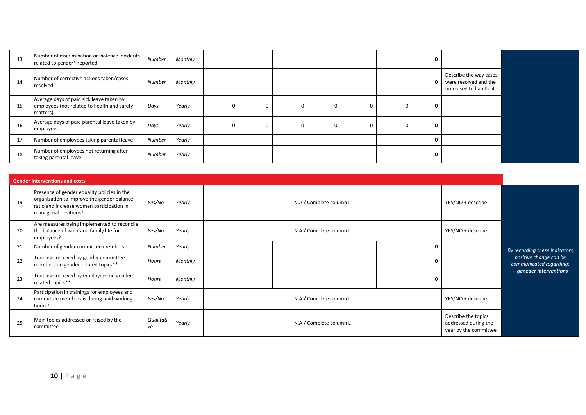| 13 | Number of discrimination or violence incidents<br>related to gender* reported                       | Number        | Monthly |  |  |   |          |                                                                           |  |
|----|-----------------------------------------------------------------------------------------------------|---------------|---------|--|--|---|----------|---------------------------------------------------------------------------|--|
| 14 | Number of corrective actions taken/cases<br>resolved                                                | Number        | Monthly |  |  |   | $\Omega$ | Describe the way cases<br>were resolved and the<br>time used to handle it |  |
| 15 | Average days of paid sick leave taken by<br>employees (not related to health and safety<br>matters) | Days          | Yearly  |  |  | 0 |          |                                                                           |  |
| 16 | Average days of paid parental leave taken by<br>employees                                           | Days          | Yearly  |  |  | 0 |          |                                                                           |  |
| 17 | Number of employees taking parental leave                                                           | <b>Number</b> | Yearly  |  |  |   |          |                                                                           |  |
| 18 | Number of employees not returning after<br>taking parental leave                                    | Number        | Yearly  |  |  |   |          |                                                                           |  |

|    | <b>Gender interventions and costs</b>                                                                                                                           |                 |         |  |                                              |  |  |  |  |   |                                                                      |                                                   |
|----|-----------------------------------------------------------------------------------------------------------------------------------------------------------------|-----------------|---------|--|----------------------------------------------|--|--|--|--|---|----------------------------------------------------------------------|---------------------------------------------------|
| 19 | Presence of gender equality policies in the<br>organization to improve the gender balance<br>ratio and increase women participation in<br>managerial positions? | Yes/No          | Yearly  |  | N.A / Complete column L<br>YES/NO + describe |  |  |  |  |   |                                                                      |                                                   |
| 20 | Are measures being implemented to reconcile<br>the balance of work and family life for<br>employees?                                                            | Yes/No          | Yearly  |  | N.A / Complete column L<br>YES/NO + describe |  |  |  |  |   |                                                                      |                                                   |
| 21 | Number of gender committee members                                                                                                                              | Number          | Yearly  |  |                                              |  |  |  |  | 0 |                                                                      | By recording these indicators,                    |
| 22 | Trainings received by gender committee<br>members on gender-related topics**                                                                                    | Hours           | Monthly |  |                                              |  |  |  |  | 0 |                                                                      | positive change can be<br>communicated regarding: |
| 23 | Trainings received by employees on gender-<br>related topics**                                                                                                  | Hours           | Monthly |  |                                              |  |  |  |  | 0 |                                                                      | - geneder interventions                           |
| 24 | Participation in trainings for employees and<br>committee members is during paid working<br>hours?                                                              | Yes/No          | Yearly  |  | N.A / Complete column L                      |  |  |  |  |   | YES/NO + describe                                                    |                                                   |
| 25 | Main topics addressed or raised by the<br>committee                                                                                                             | Qualitati<br>ve | Yearly  |  | N.A / Complete column L                      |  |  |  |  |   | Describe the topics<br>addressed during the<br>year by the committee |                                                   |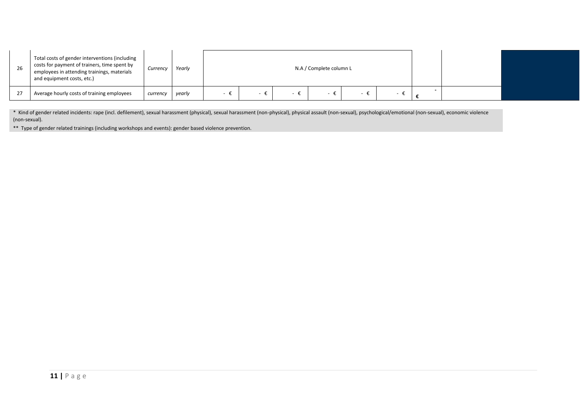| 26 | Total costs of gender interventions (including<br>costs for payment of trainers, time spent by<br>employees in attending trainings, materials<br>and equipment costs, etc.) | Currency | Yearly |  | N.A / Complete column L |  |  |  |
|----|-----------------------------------------------------------------------------------------------------------------------------------------------------------------------------|----------|--------|--|-------------------------|--|--|--|
| 27 | Average hourly costs of training employees                                                                                                                                  | currency | yearly |  |                         |  |  |  |

\* Kind of gender related incidents: rape (incl. defilement), sexual harassment (physical), sexual harassment (non-physical), physical assault (non-sexual), psychological/emotional (non-sexual), economic violence (non-sexual).

\*\* Type of gender related trainings (including workshops and events): gender based violence prevention.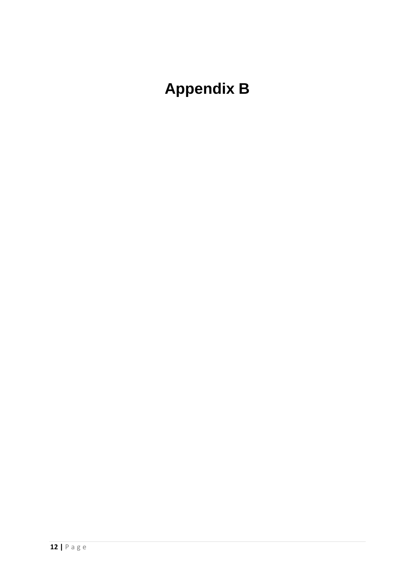# **Appendix B**